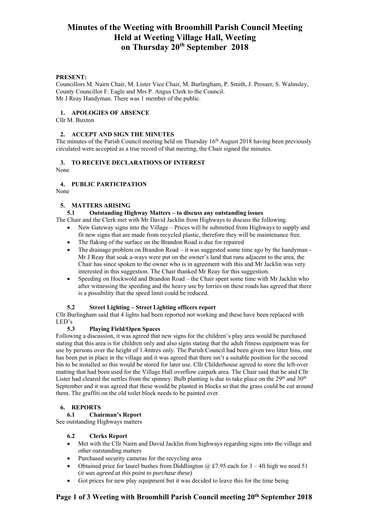# **Minutes of the Weeting with Broomhill Parish Council Meeting Held at Weeting Village Hall, Weeting on Thursday 20th September 2018**

### **PRESENT:**

Councillors M. Nairn Chair, M. Lister Vice Chair, M. Burlingham, P. Smith, J. Prosser, S. Walmsley, County Councillor F. Eagle and Mrs P. Angus Clerk to the Council. Mr J Reay Handyman. There was 1 member of the public.

### **1. APOLOGIES OF ABSENCE**

Cllr M. Buxton

### **2. ACCEPT AND SIGN THE MINUTES**

The minutes of the Parish Council meeting held on Thursday 16<sup>th</sup> August 2018 having been previously circulated were accepted as a true record of that meeting, the Chair signed the minutes.

### **3. TO RECEIVE DECLARATIONS OF INTEREST**

None

# **4. PUBLIC PARTICIPATION**

None

### **5. MATTERS ARISING**

### **5.1 Outstanding Highway Matters – to discuss any outstanding issues**

The Chair and the Clerk met with Mr David Jacklin from Highways to discuss the following.

- New Gateway signs into the Village Prices will be submitted from Highways to supply and fit new signs that are made from recycled plastic, therefore they will be maintenance free.
- The flaking of the surface on the Brandon Road is due for repaired
- The drainage problem on Brandon Road it was suggested some time ago by the handyman Mr J Reay that soak a-ways were put on the owner's land that runs adjacent to the area, the Chair has since spoken to the owner who is in agreement with this and Mr Jacklin was very interested in this suggestion. The Chair thanked Mr Reay for this suggestion.
- Speeding on Hockwold and Brandon Road the Chair spent some time with Mr Jacklin who after witnessing the speeding and the heavy use by lorries on these roads has agreed that there is a possibility that the speed limit could be reduced.

### **5.2 Street Lighting – Street Lighting officers report**

Cllr Burlingham said that 4 lights had been reported not working and these have been replaced with LED's

# **5.3 Playing Field/Open Spaces**

Following a discussion, it was agreed that new signs for the children's play area would be purchased stating that this area is for children only and also signs stating that the adult fitness equipment was for use by persons over the height of 1.4mtres only. The Parish Council had been given two litter bins, one has been put in place in the village and it was agreed that there isn't a suitable position for the second bin to be installed so this would be stored for later use. Cllr Childerhouse agreed to store the left-over matting that had been used for the Village Hall overflow carpark area. The Chair said that he and Cllr Lister had cleared the nettles from the spinney. Bulb planting is due to take place on the  $29<sup>th</sup>$  and  $30<sup>th</sup>$ September and it was agreed that these would be planted in blocks so that the grass could be cut around them. The graffiti on the old toilet block needs to be painted over.

# **6. REPORTS**

# **6.1 Chairman's Report**

See outstanding Highways matters

### **6.2 Clerks Report**

- Met with the Cllr Nairn and David Jacklin from highways regarding signs into the village and other outstanding matters
- Purchased security cameras for the recycling area
- Obtained price for laurel bushes from Diddlington  $\omega$  £7.95 each for 3 4ft high we need 51 (*it was agreed at this point to purchase these)*
- Got prices for new play equipment but it was decided to leave this for the time being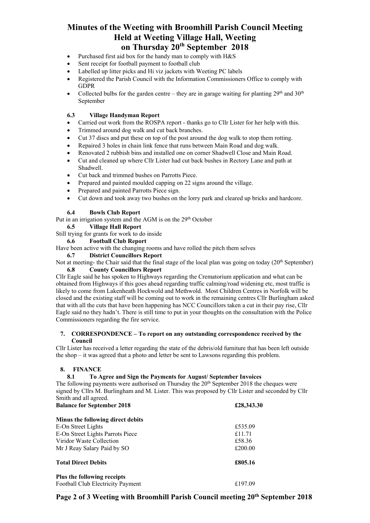# **Minutes of the Weeting with Broomhill Parish Council Meeting Held at Weeting Village Hall, Weeting on Thursday 20th September 2018**

- Purchased first aid box for the handy man to comply with H&S
- Sent receipt for football payment to football club
- Labelled up litter picks and Hi viz jackets with Weeting PC labels
- Registered the Parish Council with the Information Commissioners Office to comply with GDPR
- Collected bulbs for the garden centre they are in garage waiting for planting  $29<sup>th</sup>$  and  $30<sup>th</sup>$ September

# **6.3 Village Handyman Report**

- Carried out work from the ROSPA report thanks go to Cllr Lister for her help with this.
- Trimmed around dog walk and cut back branches.
- Cut 37 discs and put these on top of the post around the dog walk to stop them rotting.
- Repaired 3 holes in chain link fence that runs between Main Road and dog walk.
- Renovated 2 rubbish bins and installed one on corner Shadwell Close and Main Road.
- Cut and cleaned up where Cllr Lister had cut back bushes in Rectory Lane and path at Shadwell.
- Cut back and trimmed bushes on Parrotts Piece.
- Prepared and painted moulded capping on 22 signs around the village.
- Prepared and painted Parrotts Piece sign.
- Cut down and took away two bushes on the lorry park and cleared up bricks and hardcore.

# **6.4 Bowls Club Report**

Put in an irrigation system and the AGM is on the 29<sup>th</sup> October

**6.5 Village Hall Report** 

Still trying for grants for work to do inside

**6.6 Football Club Report** 

Have been active with the changing rooms and have rolled the pitch them selves

### **6.7 District Councillors Report**

Not at meeting- the Chair said that the final stage of the local plan was going on today  $(20<sup>th</sup>$  September) **6.8 County Councillors Report** 

Cllr Eagle said he has spoken to Highways regarding the Crematorium application and what can be obtained from Highways if this goes ahead regarding traffic calming/road widening etc, most traffic is likely to come from Lakenheath Hockwold and Methwold. Most Children Centres in Norfolk will be closed and the existing staff will be coming out to work in the remaining centres Cllr Burlingham asked that with all the cuts that have been happening has NCC Councillors taken a cut in their pay rise, Cllr Eagle said no they hadn't. There is still time to put in your thoughts on the consultation with the Police Commissioners regarding the fire service.

### **7. CORRESPONDENCE – To report on any outstanding correspondence received by the Council**

Cllr Lister has received a letter regarding the state of the debris/old furniture that has been left outside the shop – it was agreed that a photo and letter be sent to Lawsons regarding this problem.

# **8. FINANCE**

# **8.1 To Agree and Sign the Payments for August/ September Invoices**

The following payments were authorised on Thursday the 20<sup>th</sup> September 2018 the cheques were signed by Cllrs M. Burlingham and M. Lister. This was proposed by Cllr Lister and seconded by Cllr Smith and all agreed.<br>Relaxes for Septemb

| <b>Balance for September 2018</b> | £28,343.30 |
|-----------------------------------|------------|
| Minus the following direct debits |            |
| E-On Street Lights                | £535.09    |
| E-On Street Lights Parrots Piece  | £11.71     |
| Viridor Waste Collection          | £58.36     |
| Mr J Reay Salary Paid by SO       | £200.00    |
| <b>Total Direct Debits</b>        | £805.16    |
| Plus the following receipts       |            |
| Football Club Electricity Payment | £197.09    |